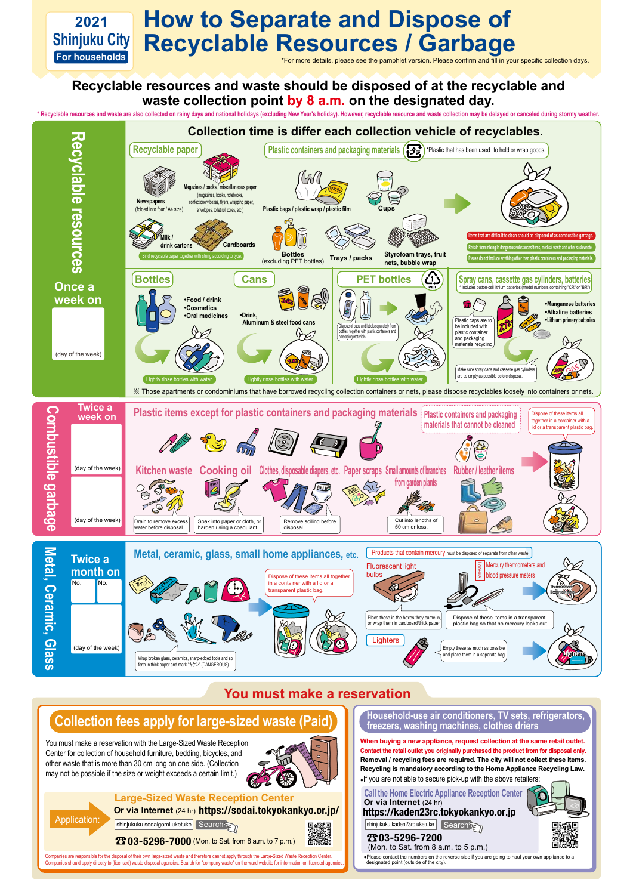## **Recyclable resources and waste should be disposed of at the recyclable and waste collection point by 8 a.m. on the designated day.**

\* Recyclable resources and waste are also collected on rainy days and national holidays (excluding New Year's holiday). However, recyclable resource and waste collection may be delayed or canceled during stormy weather.



Companies are responsible for the disposal of their own large-sized waste and therefore cannot apply through the Large-Sized Waste Reception Center. Companies should apply directly to (licensed) waste disposal agencies. Search for "company waste" on the ward website for information on licensed agen

You must make a reservation with the Large-Sized Waste Reception Center for collection of household furniture, bedding, bicycles, and other waste that is more than 30 cm long on one side. (Collection may not be possible if the size or weight exceeds a certain limit.)

## **Large-Sized Waste Reception Center Or via Internet** (24 hr) https://sodai.tokyokankyo.or.jp/

shinjukuku sodaigomi uketuke Search

**23 03-5296-7000** (Mon. to Sat. from 8 a.m. to 7 p.m.)

Application:



## **You must make a reservation**

# **Collection fees apply for large-sized waste (Paid)**

**Household-use air conditioners, TV sets, refrigerators, freezers, washing machines, clothes driers**

#### (Mon. to Sat. from 8 a.m. to 5 p.m.) 03-5296-7200



**When buying a new appliance, request collection at the same retail outlet. Contact the retail outlet you originally purchased the product from for disposal only. Removal / recycling fees are required. The city will not collect these items. Recycling is mandatory according to the Home Appliance Recycling Law.**

●If you are not able to secure pick-up with the above retailers:

●Please contact the numbers on the reverse side if you are going to haul your own appliance to a designated point (outside of the city).

**Call the Home Electric Appliance Reception Center** https://kaden23rc.tokyokankyo.or.jp **Or via Internet** (24 hr)

shinjukuku kaden23rc uketuke Search



### **2021 Shinjuku City For households How to Separate and Dispose of Recyclable Resources / Garbage**

\*For more details, please see the pamphlet version. Please confirm and fill in your specific collection days.